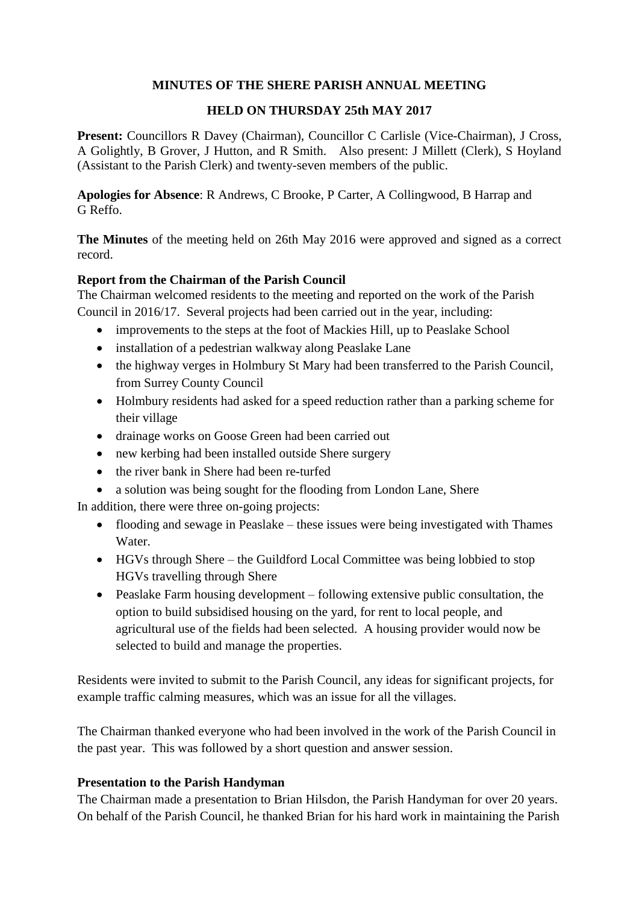## **MINUTES OF THE SHERE PARISH ANNUAL MEETING**

## **HELD ON THURSDAY 25th MAY 2017**

Present: Councillors R Davey (Chairman), Councillor C Carlisle (Vice-Chairman), J Cross, A Golightly, B Grover, J Hutton, and R Smith. Also present: J Millett (Clerk), S Hoyland (Assistant to the Parish Clerk) and twenty-seven members of the public.

**Apologies for Absence**: R Andrews, C Brooke, P Carter, A Collingwood, B Harrap and G Reffo.

**The Minutes** of the meeting held on 26th May 2016 were approved and signed as a correct record.

## **Report from the Chairman of the Parish Council**

The Chairman welcomed residents to the meeting and reported on the work of the Parish Council in 2016/17. Several projects had been carried out in the year, including:

- improvements to the steps at the foot of Mackies Hill, up to Peaslake School
- installation of a pedestrian walkway along Peaslake Lane
- the highway verges in Holmbury St Mary had been transferred to the Parish Council, from Surrey County Council
- Holmbury residents had asked for a speed reduction rather than a parking scheme for their village
- drainage works on Goose Green had been carried out
- new kerbing had been installed outside Shere surgery
- the river bank in Shere had been re-turfed
- a solution was being sought for the flooding from London Lane, Shere

In addition, there were three on-going projects:

- flooding and sewage in Peaslake these issues were being investigated with Thames Water.
- HGVs through Shere the Guildford Local Committee was being lobbied to stop HGVs travelling through Shere
- Peaslake Farm housing development following extensive public consultation, the option to build subsidised housing on the yard, for rent to local people, and agricultural use of the fields had been selected. A housing provider would now be selected to build and manage the properties.

Residents were invited to submit to the Parish Council, any ideas for significant projects, for example traffic calming measures, which was an issue for all the villages.

The Chairman thanked everyone who had been involved in the work of the Parish Council in the past year. This was followed by a short question and answer session.

## **Presentation to the Parish Handyman**

The Chairman made a presentation to Brian Hilsdon, the Parish Handyman for over 20 years. On behalf of the Parish Council, he thanked Brian for his hard work in maintaining the Parish